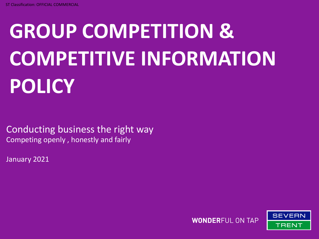# **GROUP COMPETITION & COMPETITIVE INFORMATION POLICY**

Conducting business the right way Competing openly , honestly and fairly

January 2021

**WONDERFUL ON TAP** 

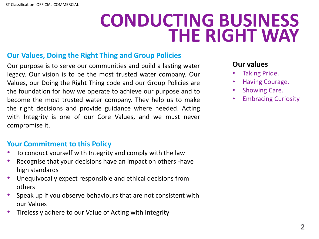### **CONDUCTING BUSINESS THE RIGHT WAY**

### **Our Values, Doing the Right Thing and Group Policies**

Our purpose is to serve our communities and build a lasting water legacy. Our vision is to be the most trusted water company. Our Values, our Doing the Right Thing code and our Group Policies are the foundation for how we operate to achieve our purpose and to become the most trusted water company. They help us to make the right decisions and provide guidance where needed. Acting with Integrity is one of our Core Values, and we must never compromise it.

### **Your Commitment to this Policy**

- To conduct yourself with Integrity and comply with the law
- Recognise that your decisions have an impact on others -have high standards
- Unequivocally expect responsible and ethical decisions from others
- Speak up if you observe behaviours that are not consistent with our Values
- Tirelessly adhere to our Value of Acting with Integrity

### **Our values**

- Taking Pride.
- Having Courage.
- Showing Care.
- Embracing Curiosity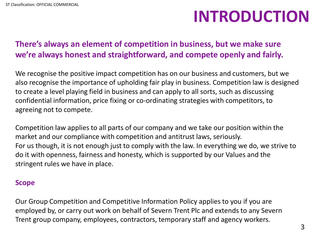### **INTRODUCTION**

### **There's always an element of competition in business, but we make sure we're always honest and straightforward, and compete openly and fairly.**

We recognise the positive impact competition has on our business and customers, but we also recognise the importance of upholding fair play in business. Competition law is designed to create a level playing field in business and can apply to all sorts, such as discussing confidential information, price fixing or co-ordinating strategies with competitors, to agreeing not to compete.

Competition law applies to all parts of our company and we take our position within the market and our compliance with competition and antitrust laws, seriously. For us though, it is not enough just to comply with the law. In everything we do, we strive to do it with openness, fairness and honesty, which is supported by our Values and the stringent rules we have in place.

#### **Scope**

Our Group Competition and Competitive Information Policy applies to you if you are employed by, or carry out work on behalf of Severn Trent Plc and extends to any Severn Trent group company, employees, contractors, temporary staff and agency workers.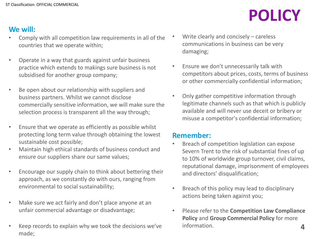### **We will:**

- Comply with all competition law requirements in all of the countries that we operate within;
- Operate in a way that guards against unfair business practice which extends to makings sure business is not subsidised for another group company;
- Be open about our relationship with suppliers and business partners. Whilst we cannot disclose commercially sensitive information, we will make sure the selection process is transparent all the way through;
- Ensure that we operate as efficiently as possible whilst protecting long term value through obtaining the lowest sustainable cost possible;
- Maintain high ethical standards of business conduct and ensure our suppliers share our same values;
- Encourage our supply chain to think about bettering their approach, as we constantly do with ours, ranging from environmental to social sustainability;
- Make sure we act fairly and don't place anyone at an unfair commercial advantage or disadvantage;
- Keep records to explain why we took the decisions we've made;
- Write clearly and concisely careless communications in business can be very damaging;
- Ensure we don't unnecessarily talk with competitors about prices, costs, terms of business or other commercially confidential information;
- Only gather competitive information through legitimate channels such as that which is publicly available and will never use deceit or bribery or misuse a competitor's confidential information;

#### **Remember:**

- Breach of competition legislation can expose Severn Trent to the risk of substantial fines of up to 10% of worldwide group turnover, civil claims, reputational damage, imprisonment of employees and directors' disqualification;
- Breach of this policy may lead to disciplinary actions being taken against you;
- **4** • Please refer to the **Competition Law Compliance Policy** and **Group Commercial Policy** for more information.

## **POLICY**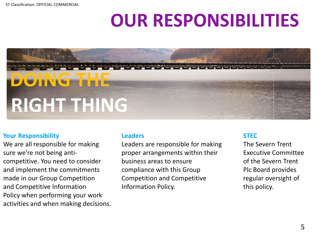ST Classification: OFFICIAL COMMERCIAL

## **OUR RESPONSIBILITIES**



#### **Your Responsibility**

We are all responsible for making sure we're not being anticompetitive. You need to consider and implement the commitments made in our Group Competition and Competitive Information Policy when performing your work activities and when making decisions.

#### **Leaders**

Leaders are responsible for making proper arrangements within their business areas to ensure compliance with this Group Competition and Competitive Information Policy.

#### **STEC**

The Severn Trent Executive Committee of the Severn Trent Plc Board provides regular oversight of this policy.